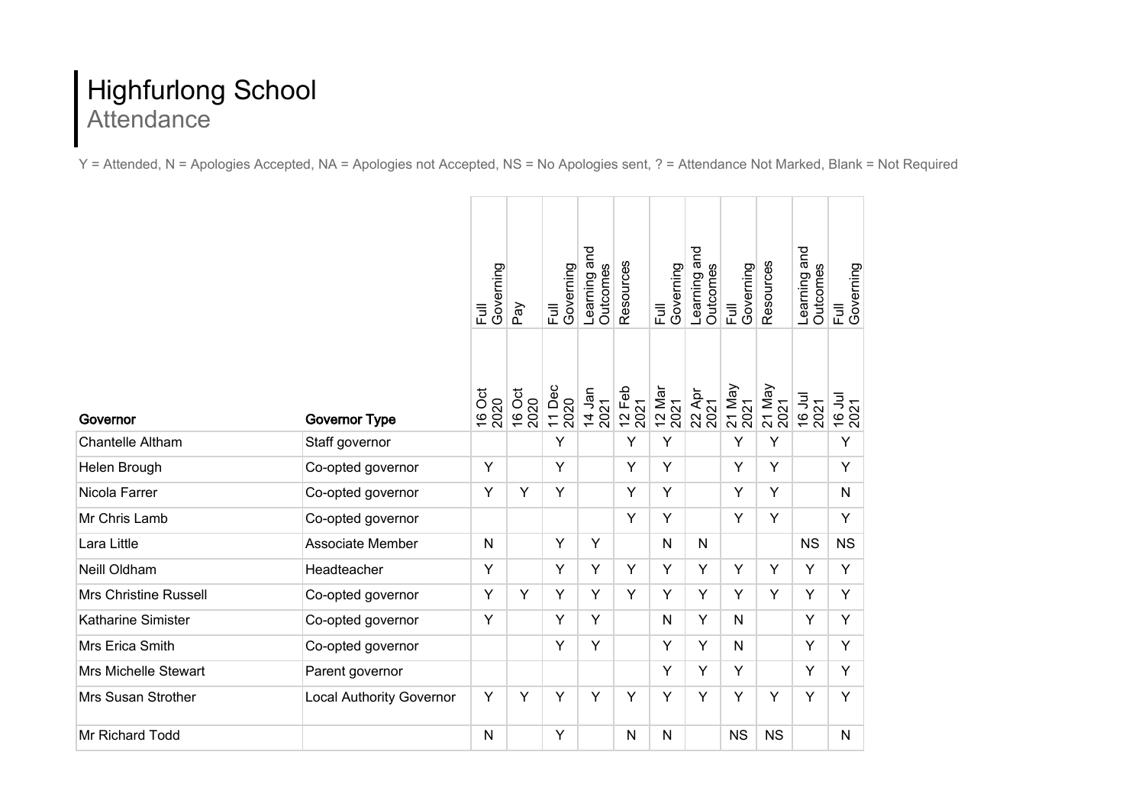## Highfurlong School Attendance

Y = Attended, N = Apologies Accepted, NA = Apologies not Accepted, NS = No Apologies sent, ? = Attendance Not Marked, Blank = Not Required

|                              | <b>Governor Type</b>            | Full<br>Governing<br>16 Oct<br>2020 | Pay<br>16 Oct<br>2020 | Governing<br>E<br>11 Dec<br>2020 | Learning and<br>Outcomes<br>14 Jan<br>2021 | Resources<br>$12$ Feb<br>2021 | Governing<br>E<br>12 Mar<br>2021 | Learning and<br>Outcomes<br>22 Apr<br>2021 | Governing<br>$\overline{E}$<br>21 May<br>2021 | Resources<br>21 May<br>2021 | Learning and<br>Outcomes<br><b>IDC 91</b><br>2021 | Governing<br>$\overline{\Xi}$<br>16 Jul |
|------------------------------|---------------------------------|-------------------------------------|-----------------------|----------------------------------|--------------------------------------------|-------------------------------|----------------------------------|--------------------------------------------|-----------------------------------------------|-----------------------------|---------------------------------------------------|-----------------------------------------|
| Governor                     |                                 |                                     |                       |                                  |                                            |                               |                                  |                                            |                                               |                             |                                                   |                                         |
| <b>Chantelle Altham</b>      | Staff governor                  |                                     |                       | Y                                |                                            | Υ                             | Y                                |                                            | Y                                             | Y                           |                                                   | Y                                       |
| Helen Brough                 | Co-opted governor               | Y                                   |                       | Y                                |                                            | Υ                             | Y                                |                                            | Y                                             | Y                           |                                                   | Y                                       |
| Nicola Farrer                | Co-opted governor               | Y                                   | Y                     | Y                                |                                            | Y                             | Y                                |                                            | Y                                             | Y                           |                                                   | N                                       |
| Mr Chris Lamb                | Co-opted governor               |                                     |                       |                                  |                                            | Y                             | Y                                |                                            | Y                                             | Y                           |                                                   | Y                                       |
| Lara Little                  | Associate Member                | $\mathsf{N}$                        |                       | Y                                | Y                                          |                               | $\mathsf{N}$                     | $\mathsf{N}$                               |                                               |                             | <b>NS</b>                                         | <b>NS</b>                               |
| Neill Oldham                 | Headteacher                     | Υ                                   |                       | Y                                | Y                                          | Y                             | Υ                                | Y                                          | Υ                                             | Y                           | Y                                                 | Y                                       |
| <b>Mrs Christine Russell</b> | Co-opted governor               | Y                                   | Y                     | Y                                | Y                                          | Y                             | Y                                | Y                                          | Y                                             | Y                           | Y                                                 | Y                                       |
| Katharine Simister           | Co-opted governor               | Y                                   |                       | Y                                | Y                                          |                               | N                                | Y                                          | N                                             |                             | Y                                                 | Y                                       |
| Mrs Erica Smith              | Co-opted governor               |                                     |                       | Y                                | Y                                          |                               | Υ                                | Y                                          | N                                             |                             | Y                                                 | Υ                                       |
| <b>Mrs Michelle Stewart</b>  | Parent governor                 |                                     |                       |                                  |                                            |                               | Υ                                | Y                                          | Υ                                             |                             | Y                                                 | Υ                                       |
| <b>Mrs Susan Strother</b>    | <b>Local Authority Governor</b> | Υ                                   | Y                     | Y                                | Y                                          | Υ                             | Υ                                | Y                                          | Y                                             | Y                           | Y                                                 | Y                                       |
| <b>Mr Richard Todd</b>       |                                 | $\mathsf{N}$                        |                       | Y                                |                                            | N                             | N                                |                                            | <b>NS</b>                                     | <b>NS</b>                   |                                                   | N                                       |